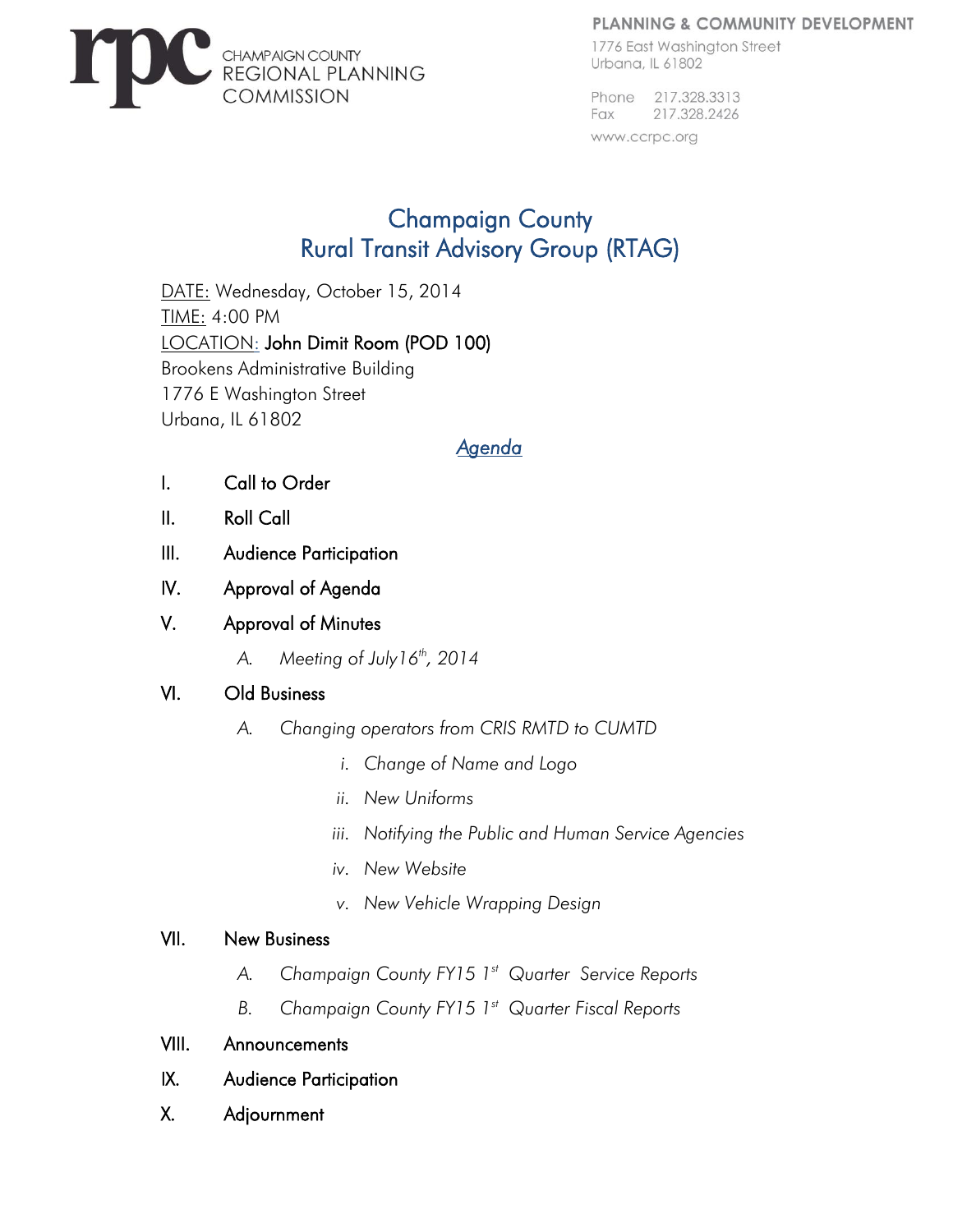#### PLANNING & COMMUNITY DEVELOPMENT



1776 East Washinaton Street Urbana, IL 61802

Phone 217.328.3313 217.328.2426 Fax

www.ccrpc.org

# Champaign County Rural Transit Advisory Group (RTAG)

DATE: Wednesday, October 15, 2014 TIME: 4:00 PM LOCATION: John Dimit Room (POD 100) Brookens Administrative Building 1776 E Washington Street Urbana, IL 61802

## *Agenda*

- I. Call to Order
- II. Roll Call
- III. Audience Participation
- IV. Approval of Agenda
- V. Approval of Minutes
	- *A. Meeting of July16th, 2014*

## VI. Old Business

- *A. Changing operators from CRIS RMTD to CUMTD* 
	- *i. Change of Name and Logo*
	- *ii. New Uniforms*
	- *iii. Notifying the Public and Human Service Agencies*
	- *iv. New Website*
	- *v. New Vehicle Wrapping Design*

## VII. New Business

- *A. Champaign County FY15 1 st Quarter Service Reports*
- *B. Champaign County FY15 1 st Quarter Fiscal Reports*
- VIII. Announcements
- IX. Audience Participation
- X. Adjournment